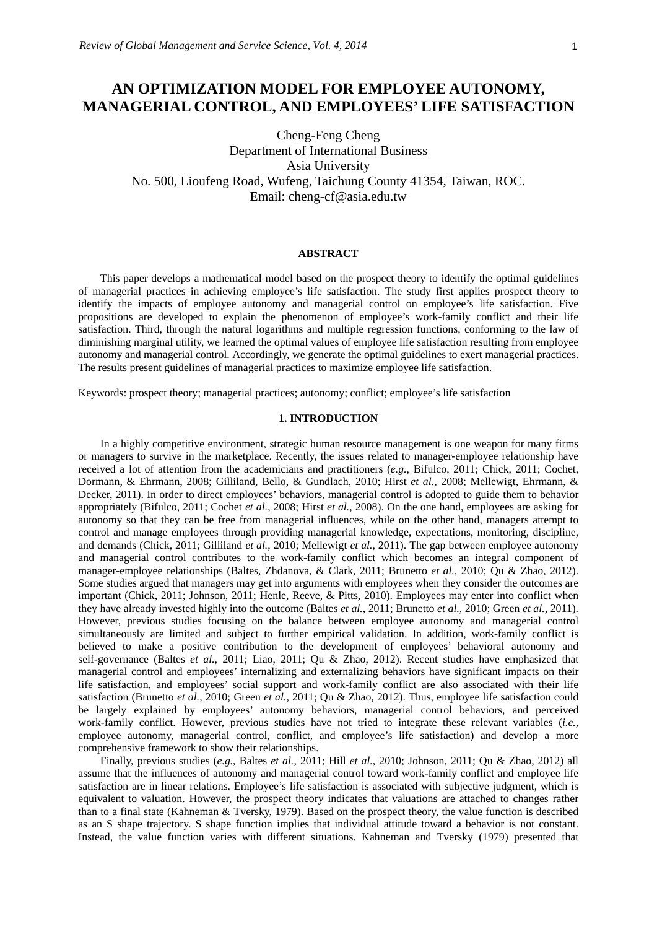# **AN OPTIMIZATION MODEL FOR EMPLOYEE AUTONOMY, MANAGERIAL CONTROL, AND EMPLOYEES' LIFE SATISFACTION**

Cheng-Feng Cheng Department of International Business Asia University No. 500, Lioufeng Road, Wufeng, Taichung County 41354, Taiwan, ROC. Email: cheng-cf@asia.edu.tw

#### **ABSTRACT**

This paper develops a mathematical model based on the prospect theory to identify the optimal guidelines of managerial practices in achieving employee's life satisfaction. The study first applies prospect theory to identify the impacts of employee autonomy and managerial control on employee's life satisfaction. Five propositions are developed to explain the phenomenon of employee's work-family conflict and their life satisfaction. Third, through the natural logarithms and multiple regression functions, conforming to the law of diminishing marginal utility, we learned the optimal values of employee life satisfaction resulting from employee autonomy and managerial control. Accordingly, we generate the optimal guidelines to exert managerial practices. The results present guidelines of managerial practices to maximize employee life satisfaction.

Keywords: prospect theory; managerial practices; autonomy; conflict; employee's life satisfaction

## **1. INTRODUCTION**

In a highly competitive environment, strategic human resource management is one weapon for many firms or managers to survive in the marketplace. Recently, the issues related to manager-employee relationship have received a lot of attention from the academicians and practitioners (*e.g.*, Bifulco, 2011; Chick, 2011; Cochet, Dormann, & Ehrmann, 2008; Gilliland, Bello, & Gundlach, 2010; Hirst *et al.,* 2008; Mellewigt, Ehrmann, & Decker, 2011). In order to direct employees' behaviors, managerial control is adopted to guide them to behavior appropriately (Bifulco, 2011; Cochet *et al.*, 2008; Hirst *et al.,* 2008). On the one hand, employees are asking for autonomy so that they can be free from managerial influences, while on the other hand, managers attempt to control and manage employees through providing managerial knowledge, expectations, monitoring, discipline, and demands (Chick, 2011; Gilliland *et al.*, 2010; Mellewigt *et al.*, 2011). The gap between employee autonomy and managerial control contributes to the work-family conflict which becomes an integral component of manager-employee relationships (Baltes, Zhdanova, & Clark, 2011; Brunetto *et al.,* 2010; Qu & Zhao, 2012). Some studies argued that managers may get into arguments with employees when they consider the outcomes are important (Chick, 2011; Johnson, 2011; Henle, Reeve, & Pitts, 2010). Employees may enter into conflict when they have already invested highly into the outcome (Baltes *et al.*, 2011; Brunetto *et al.,* 2010; Green *et al.,* 2011). However, previous studies focusing on the balance between employee autonomy and managerial control simultaneously are limited and subject to further empirical validation. In addition, work-family conflict is believed to make a positive contribution to the development of employees' behavioral autonomy and self-governance (Baltes *et al.*, 2011; Liao, 2011; Qu & Zhao, 2012). Recent studies have emphasized that managerial control and employees' internalizing and externalizing behaviors have significant impacts on their life satisfaction, and employees' social support and work-family conflict are also associated with their life satisfaction (Brunetto *et al.,* 2010; Green *et al.*, 2011; Qu & Zhao, 2012). Thus, employee life satisfaction could be largely explained by employees' autonomy behaviors, managerial control behaviors, and perceived work-family conflict. However, previous studies have not tried to integrate these relevant variables (*i.e.*, employee autonomy, managerial control, conflict, and employee's life satisfaction) and develop a more comprehensive framework to show their relationships.

Finally, previous studies (*e.g.*, Baltes *et al.*, 2011; Hill *et al.*, 2010; Johnson, 2011; Qu & Zhao, 2012) all assume that the influences of autonomy and managerial control toward work-family conflict and employee life satisfaction are in linear relations. Employee's life satisfaction is associated with subjective judgment, which is equivalent to valuation. However, the prospect theory indicates that valuations are attached to changes rather than to a final state (Kahneman & Tversky, 1979). Based on the prospect theory, the value function is described as an S shape trajectory. S shape function implies that individual attitude toward a behavior is not constant. Instead, the value function varies with different situations. Kahneman and Tversky (1979) presented that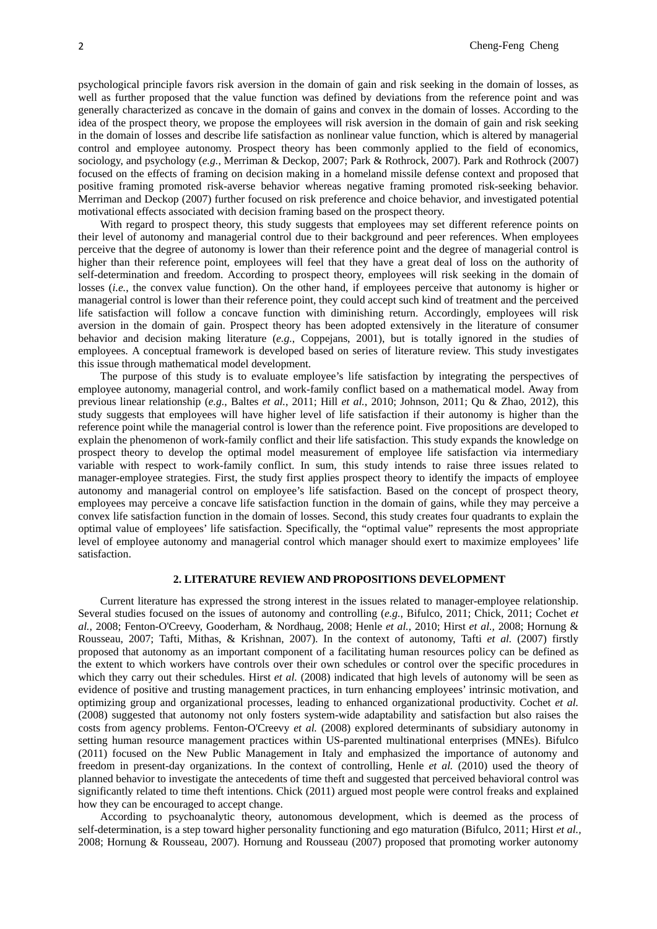psychological principle favors risk aversion in the domain of gain and risk seeking in the domain of losses, as well as further proposed that the value function was defined by deviations from the reference point and was generally characterized as concave in the domain of gains and convex in the domain of losses. According to the idea of the prospect theory, we propose the employees will risk aversion in the domain of gain and risk seeking in the domain of losses and describe life satisfaction as nonlinear value function, which is altered by managerial control and employee autonomy. Prospect theory has been commonly applied to the field of economics, sociology, and psychology (*e.g.*, Merriman & Deckop, 2007; Park & Rothrock, 2007). Park and Rothrock (2007) focused on the effects of framing on decision making in a homeland missile defense context and proposed that positive framing promoted risk-averse behavior whereas negative framing promoted risk-seeking behavior. Merriman and Deckop (2007) further focused on risk preference and choice behavior, and investigated potential motivational effects associated with decision framing based on the prospect theory.

With regard to prospect theory, this study suggests that employees may set different reference points on their level of autonomy and managerial control due to their background and peer references. When employees perceive that the degree of autonomy is lower than their reference point and the degree of managerial control is higher than their reference point, employees will feel that they have a great deal of loss on the authority of self-determination and freedom. According to prospect theory, employees will risk seeking in the domain of losses *(i.e.*, the convex value function). On the other hand, if employees perceive that autonomy is higher or managerial control is lower than their reference point, they could accept such kind of treatment and the perceived life satisfaction will follow a concave function with diminishing return. Accordingly, employees will risk aversion in the domain of gain. Prospect theory has been adopted extensively in the literature of consumer behavior and decision making literature (*e.g.*, Coppejans, 2001), but is totally ignored in the studies of employees. A conceptual framework is developed based on series of literature review. This study investigates this issue through mathematical model development.

The purpose of this study is to evaluate employee's life satisfaction by integrating the perspectives of employee autonomy, managerial control, and work-family conflict based on a mathematical model. Away from previous linear relationship (*e.g.*, Baltes *et al.*, 2011; Hill *et al.*, 2010; Johnson, 2011; Qu & Zhao, 2012), this study suggests that employees will have higher level of life satisfaction if their autonomy is higher than the reference point while the managerial control is lower than the reference point. Five propositions are developed to explain the phenomenon of work-family conflict and their life satisfaction. This study expands the knowledge on prospect theory to develop the optimal model measurement of employee life satisfaction via intermediary variable with respect to work-family conflict. In sum, this study intends to raise three issues related to manager-employee strategies. First, the study first applies prospect theory to identify the impacts of employee autonomy and managerial control on employee's life satisfaction. Based on the concept of prospect theory, employees may perceive a concave life satisfaction function in the domain of gains, while they may perceive a convex life satisfaction function in the domain of losses. Second, this study creates four quadrants to explain the optimal value of employees' life satisfaction. Specifically, the "optimal value" represents the most appropriate level of employee autonomy and managerial control which manager should exert to maximize employees' life satisfaction.

#### **2. LITERATURE REVIEW AND PROPOSITIONS DEVELOPMENT**

Current literature has expressed the strong interest in the issues related to manager-employee relationship. Several studies focused on the issues of autonomy and controlling (*e.g.*, Bifulco, 2011; Chick, 2011; Cochet *et al.*, 2008; Fenton-O'Creevy, Gooderham, & Nordhaug, 2008; Henle *et al.*, 2010; Hirst *et al.,* 2008; Hornung & Rousseau, 2007; Tafti, Mithas, & Krishnan, 2007). In the context of autonomy, Tafti *et al.* (2007) firstly proposed that autonomy as an important component of a facilitating human resources policy can be defined as the extent to which workers have controls over their own schedules or control over the specific procedures in which they carry out their schedules. Hirst *et al.* (2008) indicated that high levels of autonomy will be seen as evidence of positive and trusting management practices, in turn enhancing employees' intrinsic motivation, and optimizing group and organizational processes, leading to enhanced organizational productivity. Cochet *et al.* (2008) suggested that autonomy not only fosters system-wide adaptability and satisfaction but also raises the costs from agency problems. Fenton-O'Creevy *et al.* (2008) explored determinants of subsidiary autonomy in setting human resource management practices within US-parented multinational enterprises (MNEs). Bifulco (2011) focused on the New Public Management in Italy and emphasized the importance of autonomy and freedom in present-day organizations. In the context of controlling, Henle *et al.* (2010) used the theory of planned behavior to investigate the antecedents of time theft and suggested that perceived behavioral control was significantly related to time theft intentions. Chick (2011) argued most people were control freaks and explained how they can be encouraged to accept change.

According to psychoanalytic theory, autonomous development, which is deemed as the process of self-determination, is a step toward higher personality functioning and ego maturation (Bifulco, 2011; Hirst *et al.,* 2008; Hornung & Rousseau, 2007). Hornung and Rousseau (2007) proposed that promoting worker autonomy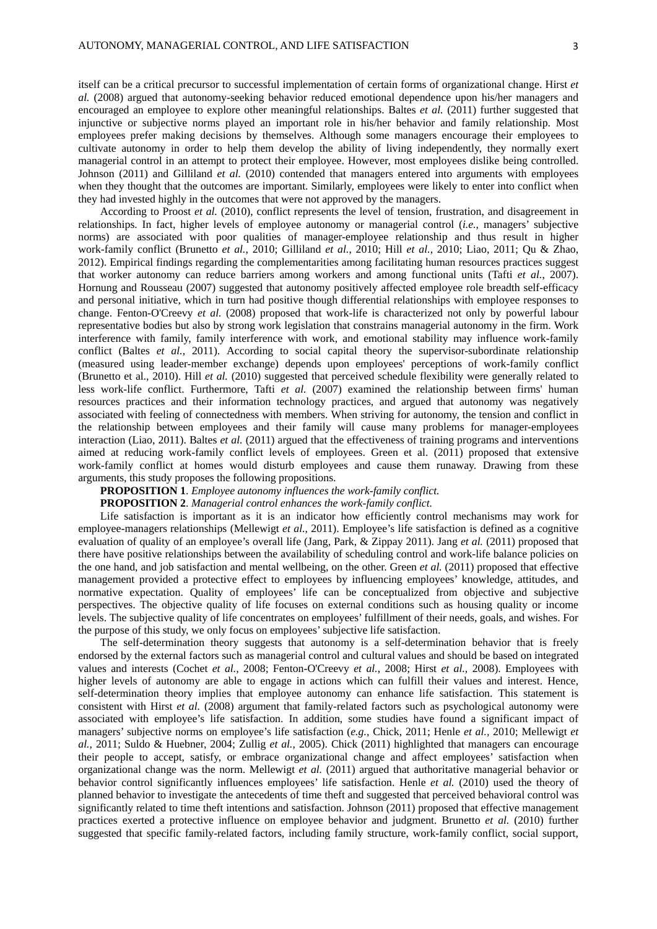itself can be a critical precursor to successful implementation of certain forms of organizational change. Hirst *et al.* (2008) argued that autonomy-seeking behavior reduced emotional dependence upon his/her managers and encouraged an employee to explore other meaningful relationships. Baltes *et al.* (2011) further suggested that injunctive or subjective norms played an important role in his/her behavior and family relationship. Most employees prefer making decisions by themselves. Although some managers encourage their employees to cultivate autonomy in order to help them develop the ability of living independently, they normally exert managerial control in an attempt to protect their employee. However, most employees dislike being controlled. Johnson (2011) and Gilliland *et al.* (2010) contended that managers entered into arguments with employees when they thought that the outcomes are important. Similarly, employees were likely to enter into conflict when they had invested highly in the outcomes that were not approved by the managers.

According to Proost *et al.* (2010), conflict represents the level of tension, frustration, and disagreement in relationships. In fact, higher levels of employee autonomy or managerial control (*i.e.*, managers' subjective norms) are associated with poor qualities of manager-employee relationship and thus result in higher work-family conflict (Brunetto *et al.*, 2010; Gilliland *et al.*, 2010; Hill *et al.*, 2010; Liao, 2011; Qu & Zhao, 2012). Empirical findings regarding the complementarities among facilitating human resources practices suggest that worker autonomy can reduce barriers among workers and among functional units (Tafti *et al.*, 2007). Hornung and Rousseau (2007) suggested that autonomy positively affected employee role breadth self-efficacy and personal initiative, which in turn had positive though differential relationships with employee responses to change. Fenton-O'Creevy *et al.* (2008) proposed that work-life is characterized not only by powerful labour representative bodies but also by strong work legislation that constrains managerial autonomy in the firm. Work interference with family, family interference with work, and emotional stability may influence work-family conflict (Baltes *et al.*, 2011). According to social capital theory the supervisor-subordinate relationship (measured using leader-member exchange) depends upon employees' perceptions of work-family conflict (Brunetto et al., 2010). Hill *et al.* (2010) suggested that perceived schedule flexibility were generally related to less work-life conflict. Furthermore, Tafti *et al.* (2007) examined the relationship between firms' human resources practices and their information technology practices, and argued that autonomy was negatively associated with feeling of connectedness with members. When striving for autonomy, the tension and conflict in the relationship between employees and their family will cause many problems for manager-employees interaction (Liao, 2011). Baltes *et al.* (2011) argued that the effectiveness of training programs and interventions aimed at reducing work-family conflict levels of employees. Green et al. (2011) proposed that extensive work-family conflict at homes would disturb employees and cause them runaway. Drawing from these arguments, this study proposes the following propositions.

# **PROPOSITION 1**. *Employee autonomy influences the work-family conflict.*

#### **PROPOSITION 2**. *Managerial control enhances the work-family conflict.*

Life satisfaction is important as it is an indicator how efficiently control mechanisms may work for employee-managers relationships (Mellewigt *et al.*, 2011). Employee's life satisfaction is defined as a cognitive evaluation of quality of an employee's overall life (Jang, Park, & Zippay 2011). Jang *et al.* (2011) proposed that there have positive relationships between the availability of scheduling control and work-life balance policies on the one hand, and job satisfaction and mental wellbeing, on the other. Green *et al.* (2011) proposed that effective management provided a protective effect to employees by influencing employees' knowledge, attitudes, and normative expectation. Quality of employees' life can be conceptualized from objective and subjective perspectives. The objective quality of life focuses on external conditions such as housing quality or income levels. The subjective quality of life concentrates on employees' fulfillment of their needs, goals, and wishes. For the purpose of this study, we only focus on employees' subjective life satisfaction.

The self-determination theory suggests that autonomy is a self-determination behavior that is freely endorsed by the external factors such as managerial control and cultural values and should be based on integrated values and interests (Cochet *et al.*, 2008; Fenton-O'Creevy *et al.*, 2008; Hirst *et al.,* 2008). Employees with higher levels of autonomy are able to engage in actions which can fulfill their values and interest. Hence, self-determination theory implies that employee autonomy can enhance life satisfaction. This statement is consistent with Hirst *et al.* (2008) argument that family-related factors such as psychological autonomy were associated with employee's life satisfaction. In addition, some studies have found a significant impact of managers' subjective norms on employee's life satisfaction (*e.g.*, Chick, 2011; Henle *et al.,* 2010; Mellewigt *et al.,* 2011; Suldo & Huebner, 2004; Zullig *et al.,* 2005). Chick (2011) highlighted that managers can encourage their people to accept, satisfy, or embrace organizational change and affect employees' satisfaction when organizational change was the norm. Mellewigt *et al.* (2011) argued that authoritative managerial behavior or behavior control significantly influences employees' life satisfaction. Henle *et al.* (2010) used the theory of planned behavior to investigate the antecedents of time theft and suggested that perceived behavioral control was significantly related to time theft intentions and satisfaction. Johnson (2011) proposed that effective management practices exerted a protective influence on employee behavior and judgment. Brunetto *et al.* (2010) further suggested that specific family-related factors, including family structure, work-family conflict, social support,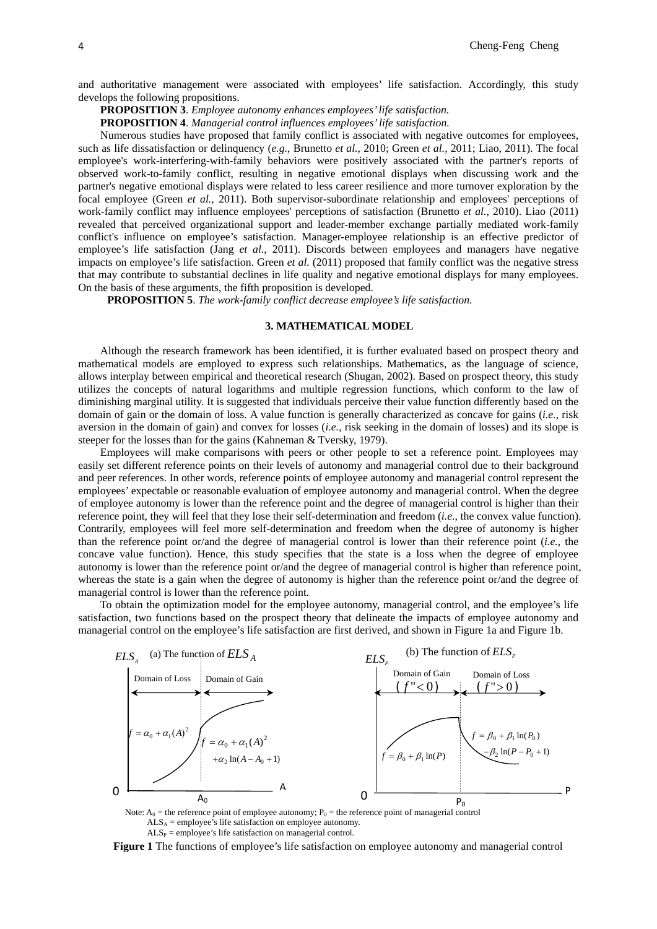and authoritative management were associated with employees' life satisfaction. Accordingly, this study develops the following propositions.

**PROPOSITION 3**. *Employee autonomy enhances employees' life satisfaction.* 

**PROPOSITION 4**. *Managerial control influences employees' life satisfaction.* 

Numerous studies have proposed that family conflict is associated with negative outcomes for employees, such as life dissatisfaction or delinquency (*e.g.*, Brunetto *et al.*, 2010; Green *et al.,* 2011; Liao, 2011). The focal employee's work-interfering-with-family behaviors were positively associated with the partner's reports of observed work-to-family conflict, resulting in negative emotional displays when discussing work and the partner's negative emotional displays were related to less career resilience and more turnover exploration by the focal employee (Green *et al.,* 2011). Both supervisor-subordinate relationship and employees' perceptions of work-family conflict may influence employees' perceptions of satisfaction (Brunetto *et al.*, 2010). Liao (2011) revealed that perceived organizational support and leader-member exchange partially mediated work-family conflict's influence on employee's satisfaction. Manager-employee relationship is an effective predictor of employee's life satisfaction (Jang *et al.*, 2011). Discords between employees and managers have negative impacts on employee's life satisfaction. Green *et al.* (2011) proposed that family conflict was the negative stress that may contribute to substantial declines in life quality and negative emotional displays for many employees. On the basis of these arguments, the fifth proposition is developed.

**PROPOSITION 5**. *The work-family conflict decrease employee's life satisfaction.* 

#### **3. MATHEMATICAL MODEL**

Although the research framework has been identified, it is further evaluated based on prospect theory and mathematical models are employed to express such relationships. Mathematics, as the language of science, allows interplay between empirical and theoretical research (Shugan, 2002). Based on prospect theory, this study utilizes the concepts of natural logarithms and multiple regression functions, which conform to the law of diminishing marginal utility. It is suggested that individuals perceive their value function differently based on the domain of gain or the domain of loss. A value function is generally characterized as concave for gains (*i.e.*, risk aversion in the domain of gain) and convex for losses (*i.e.*, risk seeking in the domain of losses) and its slope is steeper for the losses than for the gains (Kahneman & Tversky, 1979).

Employees will make comparisons with peers or other people to set a reference point. Employees may easily set different reference points on their levels of autonomy and managerial control due to their background and peer references. In other words, reference points of employee autonomy and managerial control represent the employees' expectable or reasonable evaluation of employee autonomy and managerial control. When the degree of employee autonomy is lower than the reference point and the degree of managerial control is higher than their reference point, they will feel that they lose their self-determination and freedom (*i.e.*, the convex value function). Contrarily, employees will feel more self-determination and freedom when the degree of autonomy is higher than the reference point or/and the degree of managerial control is lower than their reference point (*i.e.*, the concave value function). Hence, this study specifies that the state is a loss when the degree of employee autonomy is lower than the reference point or/and the degree of managerial control is higher than reference point, whereas the state is a gain when the degree of autonomy is higher than the reference point or/and the degree of managerial control is lower than the reference point.

To obtain the optimization model for the employee autonomy, managerial control, and the employee's life satisfaction, two functions based on the prospect theory that delineate the impacts of employee autonomy and managerial control on the employee's life satisfaction are first derived, and shown in Figure 1a and Figure 1b.



Note:  $A_0$  = the reference point of employee autonomy;  $P_0$  = the reference point of managerial control  $ALS_A =$  employee's life satisfaction on employee autonomy.  $ALS_P =$ employee's life satisfaction on managerial control.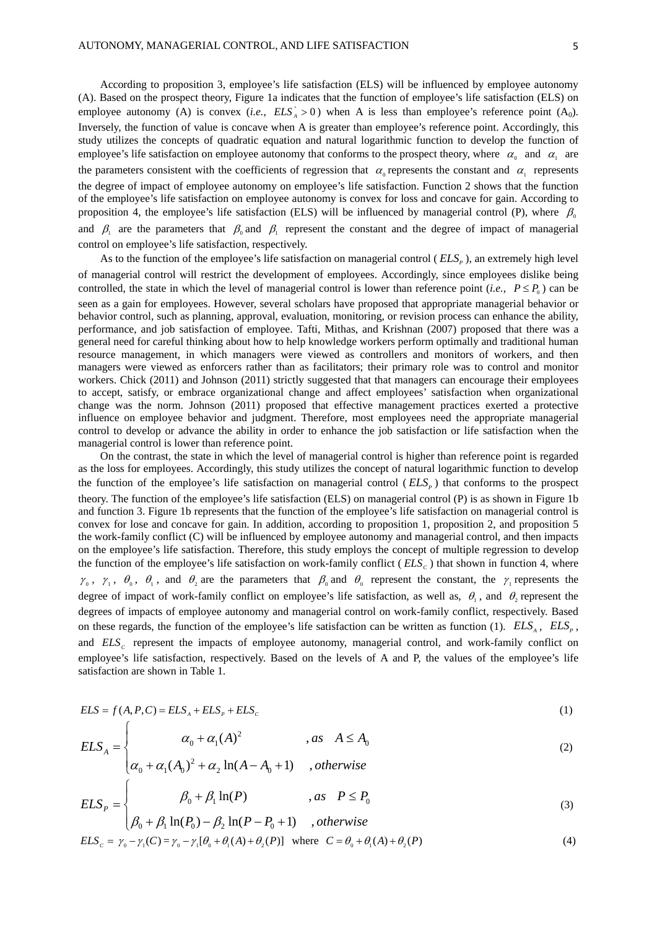According to proposition 3, employee's life satisfaction (ELS) will be influenced by employee autonomy (A). Based on the prospect theory, Figure 1a indicates that the function of employee's life satisfaction (ELS) on employee autonomy (A) is convex (*i.e.*,  $ELS_A^* > 0$ ) when A is less than employee's reference point (A<sub>0</sub>). Inversely, the function of value is concave when A is greater than employee's reference point. Accordingly, this study utilizes the concepts of quadratic equation and natural logarithmic function to develop the function of employee's life satisfaction on employee autonomy that conforms to the prospect theory, where  $\alpha_0$  and  $\alpha_1$  are the parameters consistent with the coefficients of regression that  $\alpha_0$  represents the constant and  $\alpha_1$  represents the degree of impact of employee autonomy on employee's life satisfaction. Function 2 shows that the function of the employee's life satisfaction on employee autonomy is convex for loss and concave for gain. According to proposition 4, the employee's life satisfaction (ELS) will be influenced by managerial control (P), where  $\beta_0$ and  $\beta_1$  are the parameters that  $\beta_0$  and  $\beta_1$  represent the constant and the degree of impact of managerial control on employee's life satisfaction, respectively.

As to the function of the employee's life satisfaction on managerial control ( $ELS<sub>e</sub>$ ), an extremely high level of managerial control will restrict the development of employees. Accordingly, since employees dislike being controlled, the state in which the level of managerial control is lower than reference point (*i.e.*,  $P \leq P_0$ ) can be seen as a gain for employees. However, several scholars have proposed that appropriate managerial behavior or behavior control, such as planning, approval, evaluation, monitoring, or revision process can enhance the ability, performance, and job satisfaction of employee. Tafti, Mithas, and Krishnan (2007) proposed that there was a general need for careful thinking about how to help knowledge workers perform optimally and traditional human resource management, in which managers were viewed as controllers and monitors of workers, and then managers were viewed as enforcers rather than as facilitators; their primary role was to control and monitor workers. Chick (2011) and Johnson (2011) strictly suggested that that managers can encourage their employees to accept, satisfy, or embrace organizational change and affect employees' satisfaction when organizational change was the norm. Johnson (2011) proposed that effective management practices exerted a protective influence on employee behavior and judgment. Therefore, most employees need the appropriate managerial control to develop or advance the ability in order to enhance the job satisfaction or life satisfaction when the managerial control is lower than reference point.

On the contrast, the state in which the level of managerial control is higher than reference point is regarded as the loss for employees. Accordingly, this study utilizes the concept of natural logarithmic function to develop the function of the employee's life satisfaction on managerial control ( $ELS<sub>n</sub>$ ) that conforms to the prospect theory. The function of the employee's life satisfaction (ELS) on managerial control (P) is as shown in Figure 1b and function 3. Figure 1b represents that the function of the employee's life satisfaction on managerial control is convex for lose and concave for gain. In addition, according to proposition 1, proposition 2, and proposition 5 the work-family conflict (C) will be influenced by employee autonomy and managerial control, and then impacts on the employee's life satisfaction. Therefore, this study employs the concept of multiple regression to develop the function of the employee's life satisfaction on work-family conflict ( $ELS<sub>c</sub>$ ) that shown in function 4, where  $\gamma_0$ ,  $\gamma_1$ ,  $\theta_0$ ,  $\theta_1$ , and  $\theta_2$  are the parameters that  $\beta_0$  and  $\theta_0$  represent the constant, the  $\gamma_1$  represents the degree of impact of work-family conflict on employee's life satisfaction, as well as,  $\theta$ , and  $\theta$ , represent the degrees of impacts of employee autonomy and managerial control on work-family conflict, respectively. Based on these regards, the function of the employee's life satisfaction can be written as function (1).  $ELS_{A}$ ,  $ELS_{p}$ , and *ELS<sub>C</sub>* represent the impacts of employee autonomy, managerial control, and work-family conflict on employee's life satisfaction, respectively. Based on the levels of A and P, the values of the employee's life satisfaction are shown in Table 1.

$$
ELS = f(A, P, C) = ELS_A + ELS_P + ELS_C
$$
\n<sup>(1)</sup>

$$
ELS_{A} = \begin{cases} \alpha_{0} + \alpha_{1}(A)^{2} & , as \quad A \leq A_{0} \end{cases}
$$
 (2)

$$
\left(\alpha_0 + \alpha_1 (A_0)^2 + \alpha_2 \ln(A - A_0 + 1)\right)
$$
, otherwise

 $\sqrt{ }$ 

$$
ELS_{P} = \begin{cases} \beta_{0} + \beta_{1} \ln(P) & , as \quad P \le P_{0} \\ \beta_{0} + \beta_{1} \ln(P_{0}) - \beta_{2} \ln(P - P_{0} + 1) & , otherwise \end{cases}
$$
(3)

$$
ELS_{c} = \gamma_{0} - \gamma_{1}(C) = \gamma_{0} - \gamma_{1}[\theta_{0} + \theta_{1}(A) + \theta_{2}(P)] \text{ where } C = \theta_{0} + \theta_{1}(A) + \theta_{2}(P) \tag{4}
$$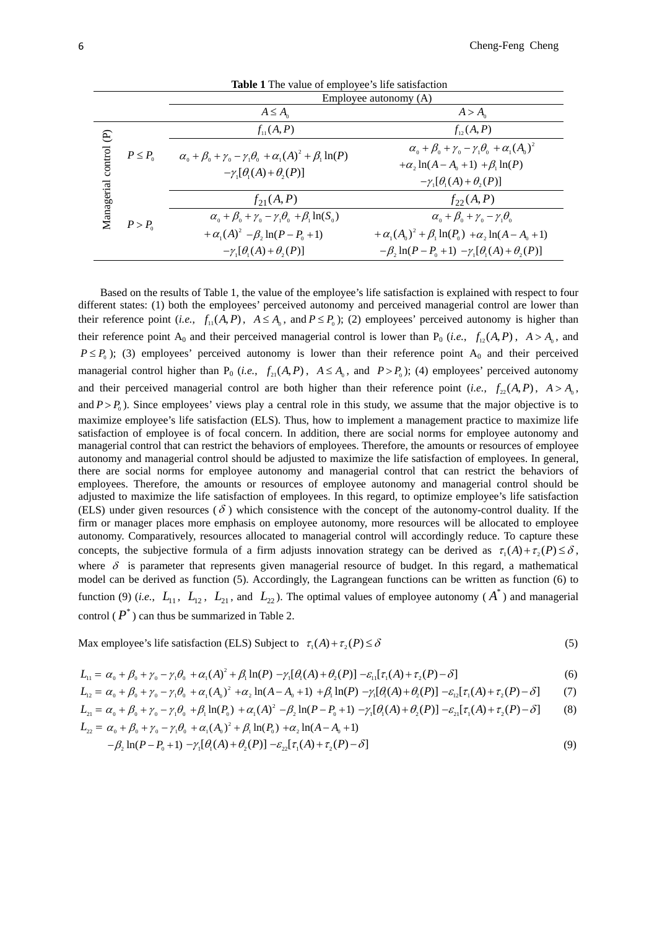| <b>Table 1</b> The value of employee's life satisfaction |                    |                                                                                                                               |                                                                                                                                                                                 |  |
|----------------------------------------------------------|--------------------|-------------------------------------------------------------------------------------------------------------------------------|---------------------------------------------------------------------------------------------------------------------------------------------------------------------------------|--|
|                                                          |                    | Employee autonomy (A)                                                                                                         |                                                                                                                                                                                 |  |
|                                                          |                    | $A \leq A_{\alpha}$                                                                                                           | $A > A_0$                                                                                                                                                                       |  |
| E                                                        | $P \leq P_{\circ}$ | $f_{\rm H}(A, P)$                                                                                                             | $f_{12}(A, P)$                                                                                                                                                                  |  |
| control                                                  |                    | $\alpha_0 + \beta_0 + \gamma_0 - \gamma_1 \theta_0 + \alpha_1 (A)^2 + \beta_1 \ln(P)$<br>$-\gamma_1[\theta_1(A)+\theta_2(P)]$ | $\alpha_{0} + \beta_{0} + \gamma_{0} - \gamma_{1} \theta_{0} + \alpha_{1} (A_{0})^{2}$<br>$+\alpha$ , $\ln(A-A_0+1) + \beta$ , $\ln(P)$<br>$-\gamma_1[\theta_1(A)+\theta_2(P)]$ |  |
| Managerial                                               | $P > P_0$          | $f_{21}(A, P)$                                                                                                                | $f_{22}(A, P)$                                                                                                                                                                  |  |
|                                                          |                    | $\alpha_0 + \beta_0 + \gamma_0 - \gamma_1 \theta_0 + \beta_1 \ln(S_0)$                                                        | $\alpha_{0} + \beta_{0} + \gamma_{0} - \gamma_{1} \theta_{0}$                                                                                                                   |  |
|                                                          |                    | + $\alpha_1(A)^2 - \beta_2 \ln(P - P_0 + 1)$                                                                                  | $+\alpha_{1}(A_{0})^{2} + \beta_{1}\ln(P_{0}) + \alpha_{2}\ln(A-A_{0}+1)$                                                                                                       |  |
|                                                          |                    | $-\gamma_1[\theta_1(A)+\theta_2(P)]$                                                                                          | $-\beta$ , $\ln(P-P_0+1)$ $-\gamma$ , $[\theta_1(A)+\theta_2(P)]$                                                                                                               |  |

Based on the results of Table 1, the value of the employee's life satisfaction is explained with respect to four different states: (1) both the employees' perceived autonomy and perceived managerial control are lower than their reference point (*i.e.*,  $f_{11}(A, P)$ ,  $A \le A_0$ , and  $P \le P_0$ ); (2) employees' perceived autonomy is higher than their reference point  $A_0$  and their perceived managerial control is lower than  $P_0$  (*i.e.*,  $f_{12}(A, P)$ ,  $A > A_0$ , and  $P \leq P_0$ ); (3) employees' perceived autonomy is lower than their reference point A<sub>0</sub> and their perceived managerial control higher than  $P_0$  (*i.e.*,  $f_{21}(A, P)$ ,  $A \le A_0$ , and  $P > P_0$ ); (4) employees' perceived autonomy and their perceived managerial control are both higher than their reference point (*i.e.*,  $f_{22}(A, P)$ ,  $A > A_0$ , and  $P > P_0$ ). Since employees' views play a central role in this study, we assume that the major objective is to maximize employee's life satisfaction (ELS). Thus, how to implement a management practice to maximize life satisfaction of employee is of focal concern. In addition, there are social norms for employee autonomy and managerial control that can restrict the behaviors of employees. Therefore, the amounts or resources of employee autonomy and managerial control should be adjusted to maximize the life satisfaction of employees. In general, there are social norms for employee autonomy and managerial control that can restrict the behaviors of employees. Therefore, the amounts or resources of employee autonomy and managerial control should be adjusted to maximize the life satisfaction of employees. In this regard, to optimize employee's life satisfaction (ELS) under given resources ( $\delta$ ) which consistence with the concept of the autonomy-control duality. If the firm or manager places more emphasis on employee autonomy, more resources will be allocated to employee autonomy. Comparatively, resources allocated to managerial control will accordingly reduce. To capture these concepts, the subjective formula of a firm adjusts innovation strategy can be derived as  $\tau_1(A) + \tau_2(P) \le \delta$ , where  $\delta$  is parameter that represents given managerial resource of budget. In this regard, a mathematical model can be derived as function (5). Accordingly, the Lagrangean functions can be written as function (6) to function (9) (*i.e.*,  $L_{11}$ ,  $L_{12}$ ,  $L_{21}$ , and  $L_{22}$ ). The optimal values of employee autonomy ( $A^*$ ) and managerial control ( $P^*$ ) can thus be summarized in Table 2.

Max employee's life satisfaction (ELS) Subject to  $\tau_1(A) + \tau_2(P) \le \delta$  (5)

$$
L_{11} = \alpha_0 + \beta_0 + \gamma_0 - \gamma_1 \theta_0 + \alpha_1 (A)^2 + \beta_1 \ln(P) - \gamma_1 [\theta_1 (A) + \theta_2 (P)] - \varepsilon_{11} [\tau_1 (A) + \tau_2 (P) - \delta]
$$
(6)

$$
L_{12} = \alpha_0 + \beta_0 + \gamma_0 - \gamma_1 \theta_0 + \alpha_1 (A_0)^2 + \alpha_2 \ln(A - A_0 + 1) + \beta_1 \ln(P) - \gamma_1 [\theta_1(A) + \theta_2(P)] - \varepsilon_{12} [\tau_1(A) + \tau_2(P) - \delta]
$$
(7)

$$
L_{21} = \alpha_0 + \beta_0 + \gamma_0 - \gamma_1 \theta_0 + \beta_1 \ln(P_0) + \alpha_1 (A)^2 - \beta_2 \ln(P - P_0 + 1) - \gamma_1 [\theta_1 (A) + \theta_2 (P)] - \varepsilon_{21} [\tau_1 (A) + \tau_2 (P) - \delta]
$$
(8)

$$
L_{22} = \alpha_0 + \beta_0 + \gamma_0 - \gamma_1 \theta_0 + \alpha_1 (A_0)^2 + \beta_1 \ln(P_0) + \alpha_2 \ln(A - A_0 + 1)
$$

$$
-\beta_2 \ln(P - P_0 + 1) - \gamma_1 [\theta_1(A) + \theta_2(P)] - \varepsilon_{22} [\tau_1(A) + \tau_2(P) - \delta]
$$
\n(9)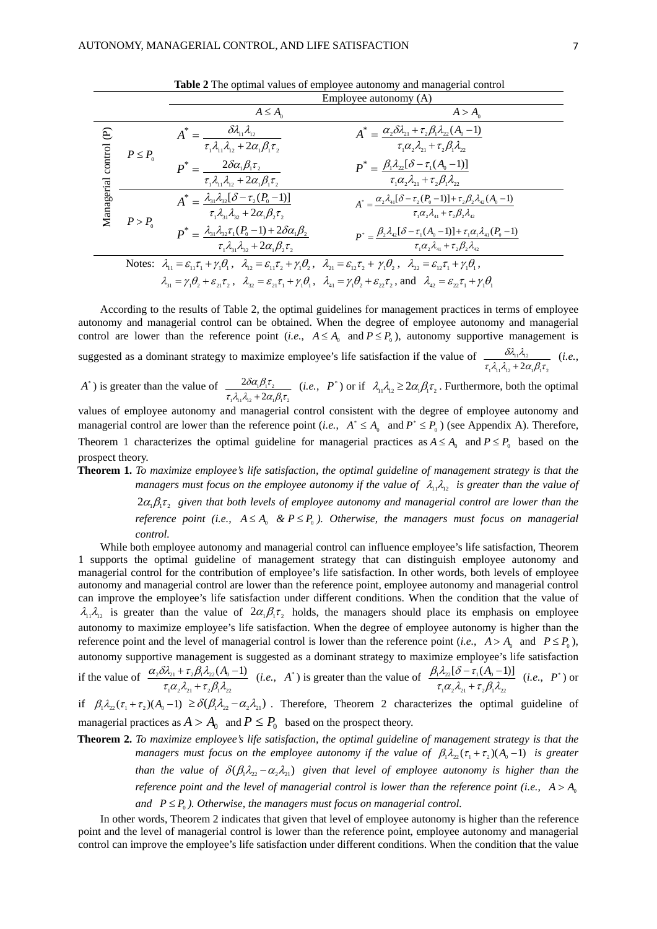|                                     |                                                                                                                                                                                                                                            | Employee autonomy $(A)$                                                                                                                                                            |                                                                                                                                                                                                                                                               |
|-------------------------------------|--------------------------------------------------------------------------------------------------------------------------------------------------------------------------------------------------------------------------------------------|------------------------------------------------------------------------------------------------------------------------------------------------------------------------------------|---------------------------------------------------------------------------------------------------------------------------------------------------------------------------------------------------------------------------------------------------------------|
|                                     |                                                                                                                                                                                                                                            | $A \leq A_{\circ}$                                                                                                                                                                 | $A > A_0$                                                                                                                                                                                                                                                     |
| $\widehat{e}$<br>Managerial control | $P \leq P_0$                                                                                                                                                                                                                               | $\delta \! \lambda_{\scriptscriptstyle 11} \lambda_{\scriptscriptstyle 12}$<br>$A^* =$<br>$\tau_1 \lambda_{11} \lambda_{12} + 2\alpha_1 \beta_1 \tau_2$                            | $A^* = \alpha_2 \delta \lambda_{21} + \tau_2 \beta_1 \lambda_{22} (A_0 - 1)$<br>$\tau_1\alpha_2\lambda_1+\tau_2\beta_1\lambda_2$                                                                                                                              |
|                                     |                                                                                                                                                                                                                                            | $2\delta\alpha_{\scriptscriptstyle 1} \beta_{\scriptscriptstyle 1} \tau_{\scriptscriptstyle 2}$<br>$\boldsymbol{p}^* =$<br>$\tau_1 \lambda_1 \lambda_2 + 2\alpha_1 \beta_1 \tau_2$ | $P^* = \frac{\beta_1 \lambda_{22} [\delta - \tau_1(A_0 - 1)]}{\sigma_1(\lambda_0 - 1)}$<br>$\tau_i \alpha_{i} \lambda_{i} + \tau_i \beta_i \lambda_{i}$                                                                                                       |
|                                     | $P > P_0$                                                                                                                                                                                                                                  | $A^* = \lambda_{31} \lambda_{32} [\delta - \tau_2 (P_0 - 1)]$<br>$\tau_1 \lambda_1 \lambda_2 + 2\alpha_1 \beta_2 \tau_2$                                                           | $A^* = \frac{\alpha_2 \lambda_{41} [\delta - \tau_2 (P_0 - 1)] + \tau_2 \beta_2 \lambda_{42} (A_0 - 1)}{\tau_1 \alpha_2 \lambda_{41} + \tau_2 \beta_2 \lambda_{42}}$                                                                                          |
|                                     |                                                                                                                                                                                                                                            | $P^* = \frac{\lambda_{31}\lambda_{32}\tau_1(P_0-1) + 2\delta\alpha_1\beta_2}{\sigma_1}$<br>$\tau_1 \lambda_1 \lambda_2 + 2\alpha_1 \beta_2 \tau_2$                                 | $P^* = \frac{\beta_2 \lambda_{42} [\delta - \tau_1 (A_0 - 1)] + \tau_1 \alpha_1 \lambda_{41} (P_0 - 1)}{P_0}$<br>$\tau_1 \alpha, \lambda_4 + \tau_2 \beta, \lambda_4$                                                                                         |
|                                     | Notes: $\lambda_1 = \varepsilon_1 \tau_1 + \gamma_1 \theta_1$ , $\lambda_2 = \varepsilon_1 \tau_2 + \gamma_1 \theta_2$ , $\lambda_3 = \varepsilon_2 \tau_2 + \gamma_1 \theta_2$ , $\lambda_2 = \varepsilon_2 \tau_1 + \gamma_1 \theta_1$ , |                                                                                                                                                                                    |                                                                                                                                                                                                                                                               |
|                                     |                                                                                                                                                                                                                                            |                                                                                                                                                                                    | $\lambda_{31} = \gamma_1 \theta_2 + \varepsilon_{21} \tau_2$ , $\lambda_{32} = \varepsilon_{31} \tau_1 + \gamma_1 \theta_1$ , $\lambda_{41} = \gamma_1 \theta_2 + \varepsilon_{32} \tau_2$ , and $\lambda_{42} = \varepsilon_{32} \tau_1 + \gamma_1 \theta_1$ |

**Table 2** The optimal values of employee autonomy and managerial control

According to the results of Table 2, the optimal guidelines for management practices in terms of employee autonomy and managerial control can be obtained. When the degree of employee autonomy and managerial control are lower than the reference point (*i.e.*,  $A \leq A_0$  and  $P \leq P_0$ ), autonomy supportive management is

suggested as a dominant strategy to maximize employee's life satisfaction if the value of  $1\frac{1}{1}\frac{q_1}{q_2} + 2a_1p_1c_2$  $\frac{\partial \eta_1 \eta_2}{\tau_1 \lambda_1 \lambda_2 + 2 \alpha_1 \beta_1 \tau_2}$ δλ λ + (*i.e.*,

 $A^*$ ) is greater than the value of  $1\frac{1}{1}\frac{1}{12}$  12  $1\frac{2}{12}$  12  $+2\alpha_1$ 2  $\tau_1 \lambda_1 \lambda_2 + 2\alpha_1 \beta_1 \tau$  $\delta \alpha_{\text{\tiny{l}}} \beta_{\text{\tiny{l}}} \tau$  $\frac{\lambda_1 \beta_1 \tau_2}{\lambda_2 \beta_1 \tau_2}$  (*i.e.*,  $P^*$ ) or if  $\lambda_1 \lambda_2 \geq 2\alpha_1 \beta_1 \tau_2$ . Furthermore, both the optimal

values of employee autonomy and managerial control consistent with the degree of employee autonomy and managerial control are lower than the reference point (*i.e.*,  $A^* \leq A_0$  and  $P^* \leq P_0$ ) (see Appendix A). Therefore, Theorem 1 characterizes the optimal guideline for managerial practices as  $A \leq A_0$  and  $P \leq P_0$  based on the prospect theory.

**Theorem 1.** *To maximize employee's life satisfaction, the optimal guideline of management strategy is that the managers must focus on the employee autonomy if the value of*  $\lambda_1 \lambda_2$  *is greater than the value of* 

> $2\alpha_i \beta_i \tau$ , given that both levels of employee autonomy and managerial control are lower than the *reference point (i.e.,*  $A \leq A_0 \& P \leq P_0$ ). Otherwise, the managers must focus on managerial *control.*

While both employee autonomy and managerial control can influence employee's life satisfaction, Theorem 1 supports the optimal guideline of management strategy that can distinguish employee autonomy and managerial control for the contribution of employee's life satisfaction. In other words, both levels of employee autonomy and managerial control are lower than the reference point, employee autonomy and managerial control can improve the employee's life satisfaction under different conditions. When the condition that the value of  $\lambda_1 \lambda_2$  is greater than the value of  $2\alpha_1 \beta_1 \tau_2$  holds, the managers should place its emphasis on employee autonomy to maximize employee's life satisfaction. When the degree of employee autonomy is higher than the reference point and the level of managerial control is lower than the reference point (*i.e.*,  $A > A_0$  and  $P \le P_0$ ), autonomy supportive management is suggested as a dominant strategy to maximize employee's life satisfaction if the value of  $1^{\alpha_2 \alpha_2_1 + \alpha_2 \mu_1 \mu_2_2}$  $_{2}\delta\lambda_{21} + \tau_{2}\beta_{1}\lambda_{22} (A_{0} - 1)$  $\tau_1\alpha_2\lambda_2 + \tau_2\beta_1\lambda_2$  $\alpha_2 \delta \lambda_{21} + \tau_2 \beta_1 \lambda_2$  $+\tau_2 \beta_1 \lambda_{2}(A_0-1)$  (*i.e.*, A<sup>\*</sup>) is greater than the value of  $\lambda_{21} + \tau_2 \beta_1 \lambda_{22}$  $1^{\alpha_2 \alpha_2_1 + \alpha_2 \mu_1 \alpha_2_2}$  $B_1 \lambda_{22} [\delta - \tau_1 (A_0 - 1)]$  $\tau_1\alpha_2\lambda_{21} + \tau_2\beta_1\lambda_2$  $\beta_1 \lambda_{22} [\delta - \tau]$  $\frac{-\tau_1(A_0-1)}{-\tau_1(\hat{A}_0-\hat{A})}$  (*i.e.*,  $P^*$ ) or if  $\beta_1 \lambda_{22} (\tau_1 + \tau_2)(A_0 - 1) \ge \delta(\beta_1 \lambda_{22} - \alpha_2 \lambda_{21})$ . Therefore, Theorem 2 characterizes the optimal guideline of

managerial practices as  $A > A_0$  and  $P \leq P_0$  based on the prospect theory.

**Theorem 2.** *To maximize employee's life satisfaction, the optimal guideline of management strategy is that the managers must focus on the employee autonomy if the value of*  $\beta_1 \lambda_2 (\tau_1 + \tau_2)(A_0 - 1)$  *is greater than the value of*  $\delta(\beta_1 \lambda_{22} - \alpha_2 \lambda_{21})$  *given that level of employee autonomy is higher than the reference point and the level of managerial control is lower than the reference point (i.e.,*  $A > A_0$ ) *and*  $P \leq P_0$ . Otherwise, the managers must focus on managerial control.

In other words, Theorem 2 indicates that given that level of employee autonomy is higher than the reference point and the level of managerial control is lower than the reference point, employee autonomy and managerial control can improve the employee's life satisfaction under different conditions. When the condition that the value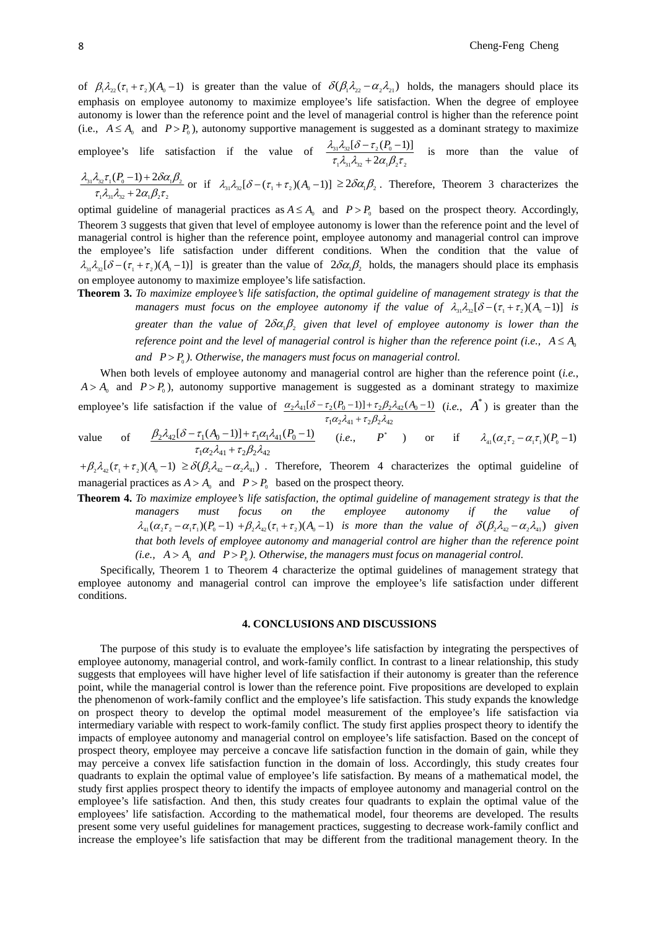of  $\beta_1 \lambda_{22} (\tau_1 + \tau_2)(A_0 - 1)$  is greater than the value of  $\delta(\beta_1 \lambda_{22} - \alpha_2 \lambda_{21})$  holds, the managers should place its emphasis on employee autonomy to maximize employee's life satisfaction. When the degree of employee autonomy is lower than the reference point and the level of managerial control is higher than the reference point (i.e.,  $A \leq A_0$  and  $P > P_0$ ), autonomy supportive management is suggested as a dominant strategy to maximize

employee's life satisfaction if the value of 
$$
\frac{\lambda_{31}\lambda_{32}[\delta-\tau_2(P_0-1)]}{\tau_1\lambda_{31}\lambda_{32}+2\alpha_1\beta_2\tau_2}
$$
 is more than the value of

$$
\frac{\lambda_{31}\lambda_{32}\tau_1(P_0-1)+2\delta\alpha_1\beta_2}{\tau_1\lambda_{31}\lambda_{32}+2\alpha_1\beta_2\tau_2}
$$
 or if  $\lambda_{31}\lambda_{32}[\delta-(\tau_1+\tau_2)(A_0-1)] \ge 2\delta\alpha_1\beta_2$ . Therefore, Theorem 3 characterizes the

optimal guideline of managerial practices as  $A \leq A_0$  and  $P > P_0$  based on the prospect theory. Accordingly, Theorem 3 suggests that given that level of employee autonomy is lower than the reference point and the level of managerial control is higher than the reference point, employee autonomy and managerial control can improve the employee's life satisfaction under different conditions. When the condition that the value of  $\lambda_1, \lambda_2$  [ $\delta - (\tau_1 + \tau_2)(A_0 - 1)$ ] is greater than the value of  $2\delta\alpha_1\beta_2$  holds, the managers should place its emphasis on employee autonomy to maximize employee's life satisfaction.

**Theorem 3.** *To maximize employee's life satisfaction, the optimal guideline of management strategy is that the managers must focus on the employee autonomy if the value of*  $\lambda_{31} \lambda_{32} [\delta - (\tau_1 + \tau_2)(A_0 - 1)]$  *is greater than the value of*  $2\delta\alpha_1\beta_2$  *given that level of employee autonomy is lower than the reference point and the level of managerial control is higher than the reference point (i.e.,*  $A \leq A_0$ *)* and  $P > P_0$ ). Otherwise, the managers must focus on managerial control.

When both levels of employee autonomy and managerial control are higher than the reference point (*i.e.*,  $A > A_0$  and  $P > P_0$ ), autonomy supportive management is suggested as a dominant strategy to maximize employee's life satisfaction if the value of  $\tau_2 \lambda_{41} [\delta - \tau_2 (P_0 - 1)] + \tau_2 \beta_2 \lambda_{42} (A_0 - 1)$  $\alpha_2\lambda_{41}[\delta-\tau_2(P_0-1)]+\tau_2\beta_2\lambda_4$ +  $-\tau_2(P_0-1)]+\tau_2\beta_2\lambda_{42}(A_0-1)$  *(i.e., A<sup>\*</sup>)* is greater than the

 $1\alpha_2\alpha_{41} + \iota_2\mu_2\alpha_{42}$ value of  $1\alpha_2\alpha_{41} + \iota_2\mu_2\alpha_{42}$  $\mathcal{Z}_2 \lambda_{42} [\delta - \tau_1 (A_0 - 1)] + \tau_1 \alpha_1 \lambda_{41} (P_0 - 1)$  $\tau_1\alpha_2\lambda_{41} + \tau_2\beta_2\lambda_4$  $\beta_2\lambda_{42}[\delta-\tau_1(A_0-1)]+\tau_1\alpha_1\lambda_2$ +  $-\tau_1(A_0-1) + \tau_1 \alpha_1 \lambda_{41}(P_0-1)$  (*i.e.*,  $P^*$  ) or if  $\lambda_{41}(\alpha_2 \tau_2 - \alpha_1 \tau_1)(P_0-1)$ 

 $\tau_1\alpha_2\lambda_{41} + \tau_2\beta_2\lambda_4$ 

 $(\tau_1 + \beta, \lambda_4, (\tau_1 + \tau_2)(A_0 - 1) \ge \delta(\beta, \lambda_4, -\alpha, \lambda_4)$ . Therefore, Theorem 4 characterizes the optimal guideline of managerial practices as  $A > A_0$  and  $P > P_0$  based on the prospect theory.

**Theorem 4.** *To maximize employee's life satisfaction, the optimal guideline of management strategy is that the managers must focus on the employee autonomy if the value of*   $\lambda_{41}(\alpha_2\tau_2-\alpha_1\tau_1)(P_0-1)+\beta_2\lambda_{42}(\tau_1+\tau_2)(A_0-1)$  is more than the value of  $\delta(\beta_2\lambda_{42}-\alpha_2\lambda_{41})$  given *that both levels of employee autonomy and managerial control are higher than the reference point*   $(i.e., A > A<sub>0</sub>$  *and P > P<sub>0</sub>). Otherwise, the managers must focus on managerial control.* 

Specifically, Theorem 1 to Theorem 4 characterize the optimal guidelines of management strategy that employee autonomy and managerial control can improve the employee's life satisfaction under different conditions.

## **4. CONCLUSIONS AND DISCUSSIONS**

The purpose of this study is to evaluate the employee's life satisfaction by integrating the perspectives of employee autonomy, managerial control, and work-family conflict. In contrast to a linear relationship, this study suggests that employees will have higher level of life satisfaction if their autonomy is greater than the reference point, while the managerial control is lower than the reference point. Five propositions are developed to explain the phenomenon of work-family conflict and the employee's life satisfaction. This study expands the knowledge on prospect theory to develop the optimal model measurement of the employee's life satisfaction via intermediary variable with respect to work-family conflict. The study first applies prospect theory to identify the impacts of employee autonomy and managerial control on employee's life satisfaction. Based on the concept of prospect theory, employee may perceive a concave life satisfaction function in the domain of gain, while they may perceive a convex life satisfaction function in the domain of loss. Accordingly, this study creates four quadrants to explain the optimal value of employee's life satisfaction. By means of a mathematical model, the study first applies prospect theory to identify the impacts of employee autonomy and managerial control on the employee's life satisfaction. And then, this study creates four quadrants to explain the optimal value of the employees' life satisfaction. According to the mathematical model, four theorems are developed. The results present some very useful guidelines for management practices, suggesting to decrease work-family conflict and increase the employee's life satisfaction that may be different from the traditional management theory. In the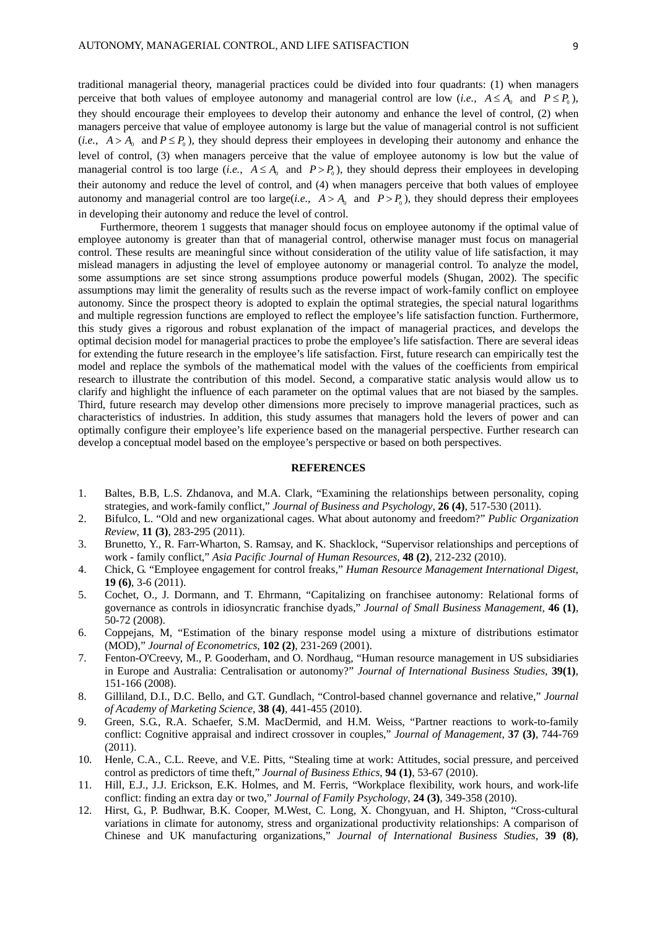traditional managerial theory, managerial practices could be divided into four quadrants: (1) when managers perceive that both values of employee autonomy and managerial control are low (*i.e.*,  $A \leq A_0$  and  $P \leq P_0$ ), they should encourage their employees to develop their autonomy and enhance the level of control, (2) when managers perceive that value of employee autonomy is large but the value of managerial control is not sufficient (*i.e.*,  $A > A_0$  and  $P \le P_0$ ), they should depress their employees in developing their autonomy and enhance the level of control, (3) when managers perceive that the value of employee autonomy is low but the value of managerial control is too large (*i.e.*,  $A \leq A_0$  and  $P > P_0$ ), they should depress their employees in developing their autonomy and reduce the level of control, and (4) when managers perceive that both values of employee autonomy and managerial control are too large(*i.e.*,  $A > A_0$  and  $P > P_0$ ), they should depress their employees in developing their autonomy and reduce the level of control.

Furthermore, theorem 1 suggests that manager should focus on employee autonomy if the optimal value of employee autonomy is greater than that of managerial control, otherwise manager must focus on managerial control. These results are meaningful since without consideration of the utility value of life satisfaction, it may mislead managers in adjusting the level of employee autonomy or managerial control. To analyze the model, some assumptions are set since strong assumptions produce powerful models (Shugan, 2002). The specific assumptions may limit the generality of results such as the reverse impact of work-family conflict on employee autonomy. Since the prospect theory is adopted to explain the optimal strategies, the special natural logarithms and multiple regression functions are employed to reflect the employee's life satisfaction function. Furthermore, this study gives a rigorous and robust explanation of the impact of managerial practices, and develops the optimal decision model for managerial practices to probe the employee's life satisfaction. There are several ideas for extending the future research in the employee's life satisfaction. First, future research can empirically test the model and replace the symbols of the mathematical model with the values of the coefficients from empirical research to illustrate the contribution of this model. Second, a comparative static analysis would allow us to clarify and highlight the influence of each parameter on the optimal values that are not biased by the samples. Third, future research may develop other dimensions more precisely to improve managerial practices, such as characteristics of industries. In addition, this study assumes that managers hold the levers of power and can optimally configure their employee's life experience based on the managerial perspective. Further research can develop a conceptual model based on the employee's perspective or based on both perspectives.

## **REFERENCES**

- 1. Baltes, B.B, L.S. Zhdanova, and M.A. Clark, "Examining the relationships between personality, coping strategies, and work-family conflict," *Journal of Business and Psychology*, **26 (4)**, 517-530 (2011).
- 2. Bifulco, L. "Old and new organizational cages. What about autonomy and freedom?" *Public Organization Review*, **11 (3)**, 283-295 (2011).
- 3. Brunetto, Y., R. Farr-Wharton, S. Ramsay, and K. Shacklock, "Supervisor relationships and perceptions of work - family conflict," *Asia Pacific Journal of Human Resources*, **48 (2)**, 212-232 (2010).
- 4. Chick, G. "Employee engagement for control freaks," *Human Resource Management International Digest*, **19 (6)**, 3-6 (2011).
- 5. Cochet, O., J. Dormann, and T. Ehrmann, "Capitalizing on franchisee autonomy: Relational forms of governance as controls in idiosyncratic franchise dyads," *Journal of Small Business Management*, **46 (1)**, 50-72 (2008).
- 6. Coppejans, M, "Estimation of the binary response model using a mixture of distributions estimator (MOD)," *Journal of Econometrics*, **102 (2)**, 231-269 (2001).
- 7. Fenton-O'Creevy, M., P. Gooderham, and O. Nordhaug, "Human resource management in US subsidiaries in Europe and Australia: Centralisation or autonomy?" *Journal of International Business Studies*, **39(1)**, 151-166 (2008).
- 8. Gilliland, D.I., D.C. Bello, and G.T. Gundlach, "Control-based channel governance and relative," *Journal of Academy of Marketing Science*, **38 (4)**, 441-455 (2010).
- 9. Green, S.G., R.A. Schaefer, S.M. MacDermid, and H.M. Weiss, "Partner reactions to work-to-family conflict: Cognitive appraisal and indirect crossover in couples," *Journal of Management*, **37 (3)**, 744-769 (2011).
- 10. Henle, C.A., C.L. Reeve, and V.E. Pitts, "Stealing time at work: Attitudes, social pressure, and perceived control as predictors of time theft," *Journal of Business Ethics*, **94 (1)**, 53-67 (2010).
- 11. Hill, E.J., J.J. Erickson, E.K. Holmes, and M. Ferris, "Workplace flexibility, work hours, and work-life conflict: finding an extra day or two," *Journal of Family Psychology*, **24 (3)**, 349-358 (2010).
- 12. Hirst, G., P. Budhwar, B.K. Cooper, M.West, C. Long, X. Chongyuan, and H. Shipton, "Cross-cultural variations in climate for autonomy, stress and organizational productivity relationships: A comparison of Chinese and UK manufacturing organizations," *Journal of International Business Studies*, **39 (8)**,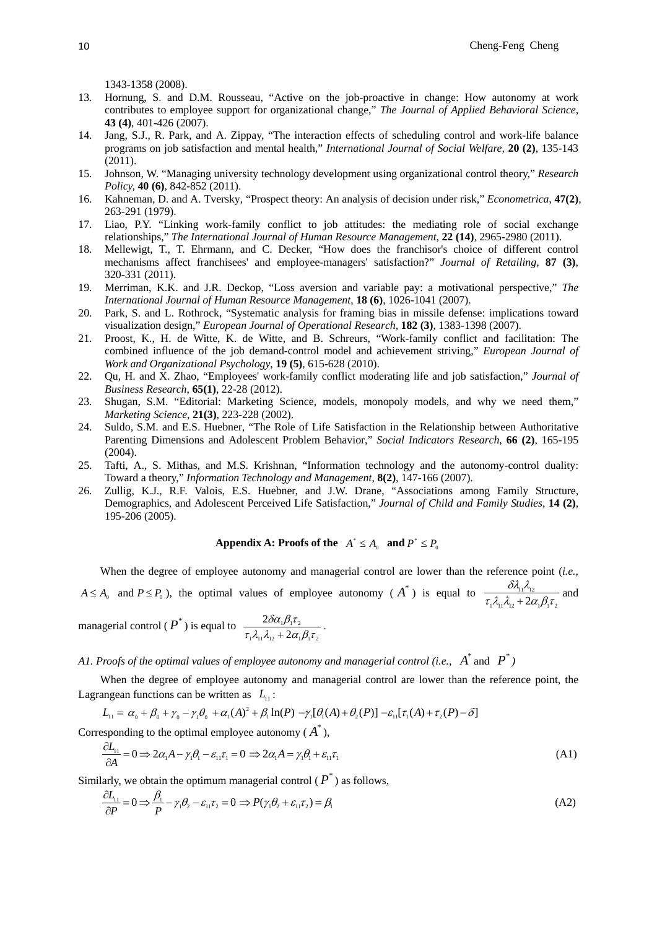1343-1358 (2008).

- 13. Hornung, S. and D.M. Rousseau, "Active on the job-proactive in change: How autonomy at work contributes to employee support for organizational change," *The Journal of Applied Behavioral Science*, **43 (4)**, 401-426 (2007).
- 14. Jang, S.J., R. Park, and A. Zippay, "The interaction effects of scheduling control and work-life balance programs on job satisfaction and mental health," *International Journal of Social Welfare*, **20 (2)**, 135-143 (2011).
- 15. Johnson, W. "Managing university technology development using organizational control theory," *Research Policy,* **40 (6)**, 842-852 (2011).
- 16. Kahneman, D. and A. Tversky, "Prospect theory: An analysis of decision under risk," *Econometrica*, **47(2)**, 263-291 (1979).
- 17. Liao, P.Y. "Linking work-family conflict to job attitudes: the mediating role of social exchange relationships," *The International Journal of Human Resource Management*, **22 (14)**, 2965-2980 (2011).
- 18. Mellewigt, T., T. Ehrmann, and C. Decker, "How does the franchisor's choice of different control mechanisms affect franchisees' and employee-managers' satisfaction?" *Journal of Retailing*, **87 (3)**, 320-331 (2011).
- 19. Merriman, K.K. and J.R. Deckop, "Loss aversion and variable pay: a motivational perspective," *The International Journal of Human Resource Management*, **18 (6)**, 1026-1041 (2007).
- 20. Park, S. and L. Rothrock, "Systematic analysis for framing bias in missile defense: implications toward visualization design," *European Journal of Operational Research*, **182 (3)**, 1383-1398 (2007).
- 21. Proost, K., H. de Witte, K. de Witte, and B. Schreurs, "Work-family conflict and facilitation: The combined influence of the job demand-control model and achievement striving," *European Journal of Work and Organizational Psychology*, **19 (5)**, 615-628 (2010).
- 22. Qu, H. and X. Zhao, "Employees' work-family conflict moderating life and job satisfaction," *Journal of Business Research*, **65(1)**, 22-28 (2012).
- 23. Shugan, S.M. "Editorial: Marketing Science, models, monopoly models, and why we need them," *Marketing Science*, **21(3)**, 223-228 (2002).
- 24. Suldo, S.M. and E.S. Huebner, "The Role of Life Satisfaction in the Relationship between Authoritative Parenting Dimensions and Adolescent Problem Behavior," *Social Indicators Research*, **66 (2)**, 165-195 (2004).
- 25. Tafti, A., S. Mithas, and M.S. Krishnan, "Information technology and the autonomy-control duality: Toward a theory," *Information Technology and Management*, **8(2)**, 147-166 (2007).
- 26. Zullig, K.J., R.F. Valois, E.S. Huebner, and J.W. Drane, "Associations among Family Structure, Demographics, and Adolescent Perceived Life Satisfaction," *Journal of Child and Family Studies*, **14 (2)**, 195-206 (2005).

# Appendix A: Proofs of the  $A^* \leq A_0$  and  $P^* \leq P_0$

When the degree of employee autonomy and managerial control are lower than the reference point (*i.e.*,  $A \le A_0$  and  $P \le P_0$ ), the optimal values of employee autonomy ( $A^*$ ) is equal to  $\frac{OA_{11}A_{12}}{\tau_1 \lambda_{11} \lambda_{12} + 2\alpha_1 \beta_1 \tau_2}$  $\frac{\sigma_{\mathcal{A}_{11}\mathcal{A}_{12}}}{\tau_1 \lambda_1 \lambda_2 + 2\alpha_1 \beta_1 \tau_2}$ δλ λ  $\frac{\eta_1 \eta_2}{\eta_1 + 2\alpha_1 \beta_1 \tau_2}$  and

managerial control ( $P^*$ ) is equal to  $1^{\prime}$  11<sup>'</sup>  $1^{\prime}$  12'  $\sim$   $2^{\prime}$  1<sup>'</sup> 1<sup>'</sup> 2  $+2\alpha_1$ 2  $\tau_1 \lambda_{11} \lambda_{12} + 2\alpha_1 \beta_1 \tau$  $\frac{\delta \alpha_1 \beta_1 \tau_2}{\beta_{12} + 2 \alpha_1 \beta_1 \tau_2}$ .

*A1. Proofs of the optimal values of employee autonomy and managerial control (i.e., \* A* and *\* P )* 

When the degree of employee autonomy and managerial control are lower than the reference point, the Lagrangean functions can be written as  $L_1$ :

$$
L_{11} = \alpha_0 + \beta_0 + \gamma_0 - \gamma_1 \theta_0 + \alpha_1 (A)^2 + \beta_1 \ln(P) - \gamma_1 [\theta_1 (A) + \theta_2 (P)] - \varepsilon_{11} [\tau_1 (A) + \tau_2 (P) - \delta]
$$

Corresponding to the optimal employee autonomy  $(A^*)$ ,

$$
\frac{\partial L_{11}}{\partial A} = 0 \implies 2\alpha_1 A - \gamma_1 \theta_1 - \varepsilon_{11} \tau_1 = 0 \implies 2\alpha_1 A = \gamma_1 \theta_1 + \varepsilon_{11} \tau_1 \tag{A1}
$$

Similarly, we obtain the optimum managerial control  $(P^*)$  as follows,

$$
\frac{\partial L_{11}}{\partial P} = 0 \Longrightarrow \frac{\beta_1}{P} - \gamma_1 \theta_2 - \varepsilon_{11} \tau_2 = 0 \Longrightarrow P(\gamma_1 \theta_2 + \varepsilon_{11} \tau_2) = \beta_1 \tag{A2}
$$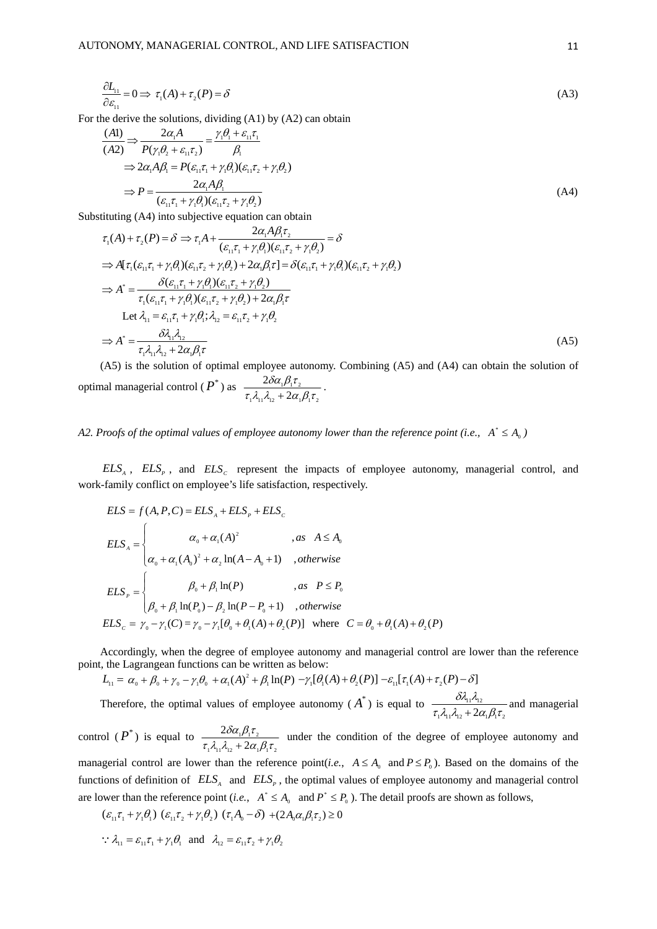$$
\frac{\partial L_{11}}{\partial \varepsilon_{11}} = 0 \implies \tau_1(A) + \tau_2(P) = \delta \tag{A3}
$$

For the derive the solutions, dividing (A1) by (A2) can obtain

$$
\frac{(A1)}{(A2)} \Rightarrow \frac{2\alpha_1 A}{P(\gamma_1 \theta_2 + \varepsilon_{11} \tau_2)} = \frac{\gamma_1 \theta_1 + \varepsilon_{11} \tau_1}{\beta_1}
$$
\n
$$
\Rightarrow 2\alpha_1 A \beta_1 = P(\varepsilon_{11} \tau_1 + \gamma_1 \theta_1)(\varepsilon_{11} \tau_2 + \gamma_1 \theta_2)
$$
\n
$$
\Rightarrow P = \frac{2\alpha_1 A \beta_1}{(\varepsilon_{11} \tau_1 + \gamma_1 \theta_1)(\varepsilon_{11} \tau_2 + \gamma_1 \theta_2)} \tag{A4}
$$

Substituting (A4) into subjective equation can obtain

$$
\tau_{1}(A) + \tau_{2}(P) = \delta \Rightarrow \tau_{1}A + \frac{2\alpha_{1}A\beta_{1}\tau_{2}}{(\varepsilon_{11}\tau_{1} + \gamma_{1}\theta_{1})(\varepsilon_{11}\tau_{2} + \gamma_{1}\theta_{2})} = \delta
$$
  
\n
$$
\Rightarrow A[\tau_{1}(\varepsilon_{11}\tau_{1} + \gamma_{1}\theta_{1})(\varepsilon_{11}\tau_{2} + \gamma_{1}\theta_{2}) + 2\alpha_{1}\beta_{1}\tau_{1} = \delta(\varepsilon_{11}\tau_{1} + \gamma_{1}\theta_{1})(\varepsilon_{11}\tau_{2} + \gamma_{1}\theta_{2})
$$
  
\n
$$
\Rightarrow A^{*} = \frac{\delta(\varepsilon_{11}\tau_{1} + \gamma_{1}\theta_{1})(\varepsilon_{11}\tau_{2} + \gamma_{1}\theta_{2})}{\tau_{1}(\varepsilon_{11}\tau_{1} + \gamma_{1}\theta_{1})(\varepsilon_{11}\tau_{2} + \gamma_{1}\theta_{2}) + 2\alpha_{1}\beta_{1}\tau}
$$
  
\nLet  $\lambda_{11} = \varepsilon_{11}\tau_{1} + \gamma_{1}\theta_{1}; \lambda_{12} = \varepsilon_{11}\tau_{2} + \gamma_{1}\theta_{2}$   
\n
$$
\Rightarrow A^{*} = \frac{\delta\lambda_{11}\lambda_{12}}{\tau_{1}\lambda_{11}\lambda_{12} + 2\alpha_{1}\beta_{1}\tau}
$$
  
\n(A5) is the solution of optimal complexes outorems. Combining (A5) and (A4) can obtain the solution of

(A5) is the solution of optimal employee autonomy. Combining (A5) and (A4) can obtain the solution of optimal managerial control ( *\* P* ) as  $1\frac{1}{2}$  12  $1\frac{1}{2}$   $2\alpha_1 p_1 c_2$  $+2\alpha_1$ 2  $\tau_1 \lambda_{11} \lambda_{12} + 2\alpha_1 \beta_1 \tau$  $\frac{\delta \alpha_{\text{\tiny{l}}} \beta_{\text{\tiny{l}}} \tau_{\text{\tiny{l}}}}{\beta_{\text{\tiny{l}}} \tau_{\text{\tiny{l}}} + 2 \alpha_{\text{\tiny{l}}} \beta_{\text{\tiny{l}}} \tau_{\text{\tiny{l}}}}.$ 

A2. Proofs of the optimal values of employee autonomy lower than the reference point (i.e.,  $A^* \leq A_0$ )

 $ELS<sub>A</sub>$ ,  $ELS<sub>p</sub>$ , and  $ELS<sub>c</sub>$  represent the impacts of employee autonomy, managerial control, and work-family conflict on employee's life satisfaction, respectively.

$$
ELS = f(A, P, C) = ELS_A + ELS_P + ELS_C
$$
  
\n
$$
ELS_A = \begin{cases} \alpha_0 + \alpha_1(A)^2 & , as \ A \le A_0 \\ \alpha_0 + \alpha_1(A_0)^2 + \alpha_2 \ln(A - A_0 + 1) & , otherwise \end{cases}
$$
  
\n
$$
ELS_P = \begin{cases} \beta_0 + \beta_1 \ln(P) & , as \ P \le P_0 \\ \beta_0 + \beta_1 \ln(P_0) - \beta_2 \ln(P - P_0 + 1) & , otherwise \end{cases}
$$
  
\n
$$
ELS_C = \gamma_0 - \gamma_1(C) = \gamma_0 - \gamma_1[\theta_0 + \theta_1(A) + \theta_2(P)]
$$
 where  $C = \theta_0 + \theta_1(A) + \theta_2(P)$ 

Accordingly, when the degree of employee autonomy and managerial control are lower than the reference point, the Lagrangean functions can be written as below:

$$
L_{11} = \alpha_0 + \beta_0 + \gamma_0 - \gamma_1 \theta_0 + \alpha_1 (A)^2 + \beta_1 \ln(P) - \gamma_1 [\theta_1 (A) + \theta_2 (P)] - \varepsilon_{11} [\tau_1 (A) + \tau_2 (P) - \delta]
$$

Therefore, the optimal values of employee autonomy  $(A^*)$  is equal to  $1^{\prime}$  11' 12  $1^{\prime}$  2  $\alpha$  1 $\beta$  1' 2  $\frac{\partial \eta_1 \eta_2}{\partial \eta_1 \lambda_{12} + 2 \alpha_1 \beta_1 \tau}$ δλ λ  $+\frac{2\alpha_1\beta_1\tau_2}{2\alpha_1\beta_1\tau_2}$  and managerial

control  $(P^*)$  is equal to  $1\frac{\mu_{11}}{\mu_{12}}$   $1\frac{\mu_{12}}{\mu_{12}}$  $+2\alpha_1$ 2  $\tau_1 \lambda_{11} \lambda_{12} + 2\alpha_1 \beta_1 \tau$  $\delta \alpha_{\shortparallel} \beta_{\shortparallel} \tau$  $+\frac{2\alpha_1\beta_1\beta_2}{2\alpha_1\beta_1\gamma_2}$  under the condition of the degree of employee autonomy and managerial control are lower than the reference point(*i.e.*,  $A \leq A_0$  and  $P \leq P_0$ ). Based on the domains of the functions of definition of  $ELS<sub>A</sub>$  and  $ELS<sub>P</sub>$ , the optimal values of employee autonomy and managerial control are lower than the reference point (*i.e.*,  $A^* \leq A_0$  and  $P^* \leq P_0$ ). The detail proofs are shown as follows,

$$
(\varepsilon_{11}\tau_1 + \gamma_1\theta_1) (\varepsilon_{11}\tau_2 + \gamma_1\theta_2) (\tau_1A_0 - \delta) + (2A_0\alpha_1\beta_1\tau_2) \ge 0
$$

$$
\therefore \lambda_{11} = \varepsilon_{11} \tau_1 + \gamma_1 \theta_1 \text{ and } \lambda_{12} = \varepsilon_{11} \tau_2 + \gamma_1 \theta_2
$$